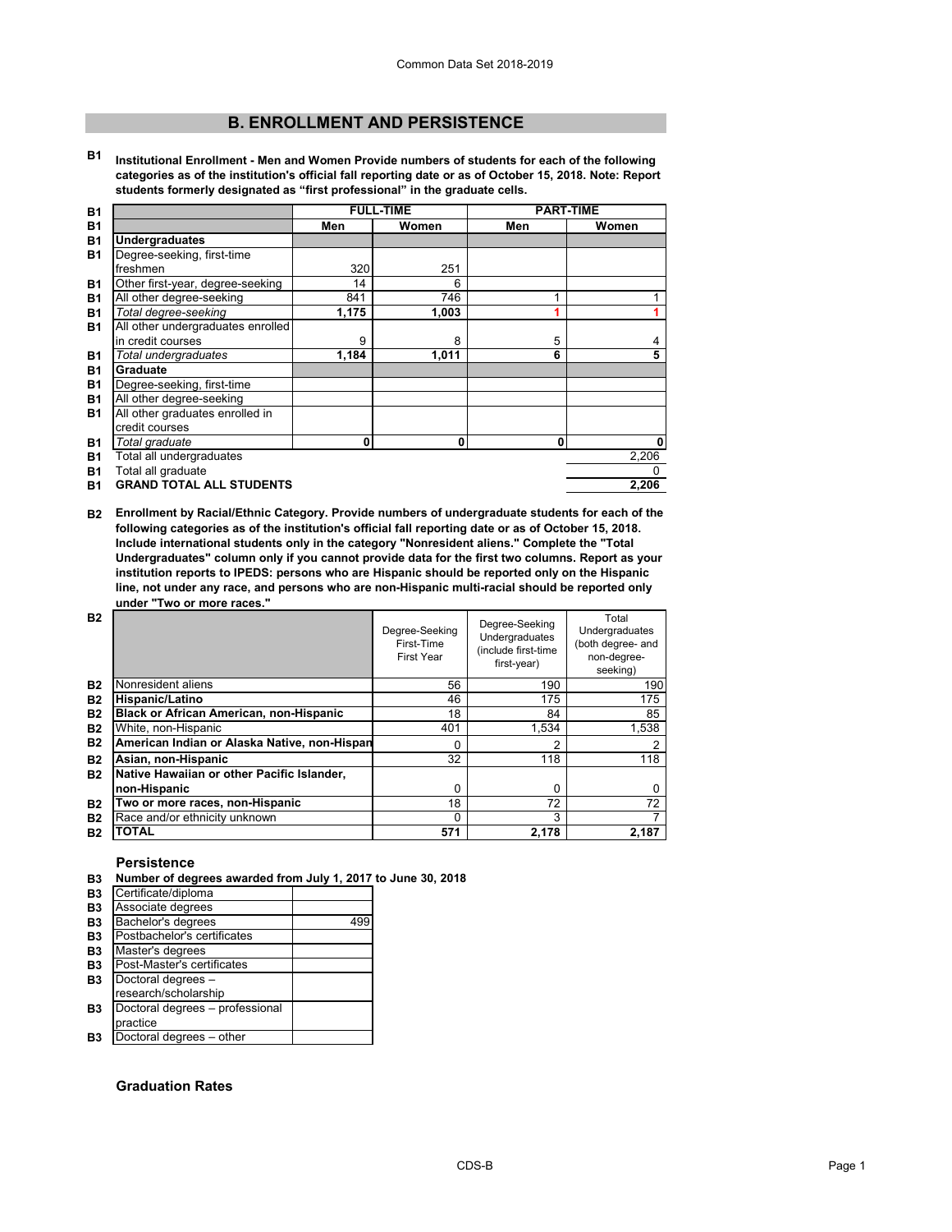# **B. ENROLLMENT AND PERSISTENCE**

**B1 Institutional Enrollment - Men and Women Provide numbers of students for each of the following categories as of the institution's official fall reporting date or as of October 15, 2018. Note: Report students formerly designated as "first professional" in the graduate cells.**

| <b>B1</b> |                                   |       | <b>FULL-TIME</b> |     | <b>PART-TIME</b> |
|-----------|-----------------------------------|-------|------------------|-----|------------------|
| <b>B1</b> |                                   | Men   | Women            | Men | Women            |
| <b>B1</b> | <b>Undergraduates</b>             |       |                  |     |                  |
| <b>B1</b> | Degree-seeking, first-time        |       |                  |     |                  |
|           | freshmen                          | 320   | 251              |     |                  |
| <b>B1</b> | Other first-year, degree-seeking  | 14    | 6                |     |                  |
| <b>B1</b> | All other degree-seeking          | 841   | 746              |     |                  |
| <b>B1</b> | Total degree-seeking              | 1,175 | 1,003            |     |                  |
| <b>B1</b> | All other undergraduates enrolled |       |                  |     |                  |
|           | in credit courses                 | 9     | 8                | 5   |                  |
| <b>B1</b> | Total undergraduates              | 1,184 | 1,011            | 6   | 5                |
| <b>B1</b> | Graduate                          |       |                  |     |                  |
| <b>B1</b> | Degree-seeking, first-time        |       |                  |     |                  |
| <b>B1</b> | All other degree-seeking          |       |                  |     |                  |
| <b>B1</b> | All other graduates enrolled in   |       |                  |     |                  |
|           | credit courses                    |       |                  |     |                  |
| <b>B1</b> | Total graduate                    | 0     | 0                | 0   | $\mathbf{0}$     |
| <b>B1</b> | Total all undergraduates          |       |                  |     | 2,206            |
| <b>B1</b> | Total all graduate                |       |                  |     |                  |
| <b>B1</b> | <b>GRAND TOTAL ALL STUDENTS</b>   |       |                  |     | 2.206            |

**B2 Enrollment by Racial/Ethnic Category. Provide numbers of undergraduate students for each of the following categories as of the institution's official fall reporting date or as of October 15, 2018. Include international students only in the category "Nonresident aliens." Complete the "Total Undergraduates" column only if you cannot provide data for the first two columns. Report as your institution reports to IPEDS: persons who are Hispanic should be reported only on the Hispanic line, not under any race, and persons who are non-Hispanic multi-racial should be reported only under "Two or more races."** 

| <b>B2</b> |                                                | Degree-Seeking<br>First-Time<br><b>First Year</b> | Degree-Seeking<br>Undergraduates<br>(include first-time<br>first-year) | Total<br>Undergraduates<br>(both degree- and<br>non-degree-<br>seeking) |
|-----------|------------------------------------------------|---------------------------------------------------|------------------------------------------------------------------------|-------------------------------------------------------------------------|
| <b>B2</b> | Nonresident aliens                             | 56                                                | 190                                                                    | 190                                                                     |
| <b>B2</b> | Hispanic/Latino                                | 46                                                | 175                                                                    | 175                                                                     |
| <b>B2</b> | <b>Black or African American, non-Hispanic</b> | 18                                                | 84                                                                     | 85                                                                      |
| <b>B2</b> | White, non-Hispanic                            | 401                                               | 1,534                                                                  | 1,538                                                                   |
| <b>B2</b> | American Indian or Alaska Native, non-Hispan   | 0                                                 | 2                                                                      | ◠                                                                       |
| <b>B2</b> | Asian, non-Hispanic                            | 32                                                | 118                                                                    | 118                                                                     |
| <b>B2</b> | Native Hawaiian or other Pacific Islander,     |                                                   |                                                                        |                                                                         |
|           | non-Hispanic                                   | 0                                                 | 0                                                                      |                                                                         |
| <b>B2</b> | Two or more races, non-Hispanic                | 18                                                | 72                                                                     | 72                                                                      |
| <b>B2</b> | Race and/or ethnicity unknown                  | 0                                                 | 3                                                                      |                                                                         |
| <b>B2</b> | <b>TOTAL</b>                                   | 571                                               | 2.178                                                                  | 2.187                                                                   |

# **Persistence**

| B3 Number of degrees awarded from July 1, 2017 to June 30, 2018 |  |
|-----------------------------------------------------------------|--|
|                                                                 |  |

| Certificate/diploma             |     |
|---------------------------------|-----|
| Associate degrees               |     |
| Bachelor's degrees              | 499 |
| Postbachelor's certificates     |     |
| Master's degrees                |     |
| Post-Master's certificates      |     |
| Doctoral degrees -              |     |
| research/scholarship            |     |
| Doctoral degrees - professional |     |
| practice                        |     |
| Doctoral degrees - other        |     |

# **Graduation Rates**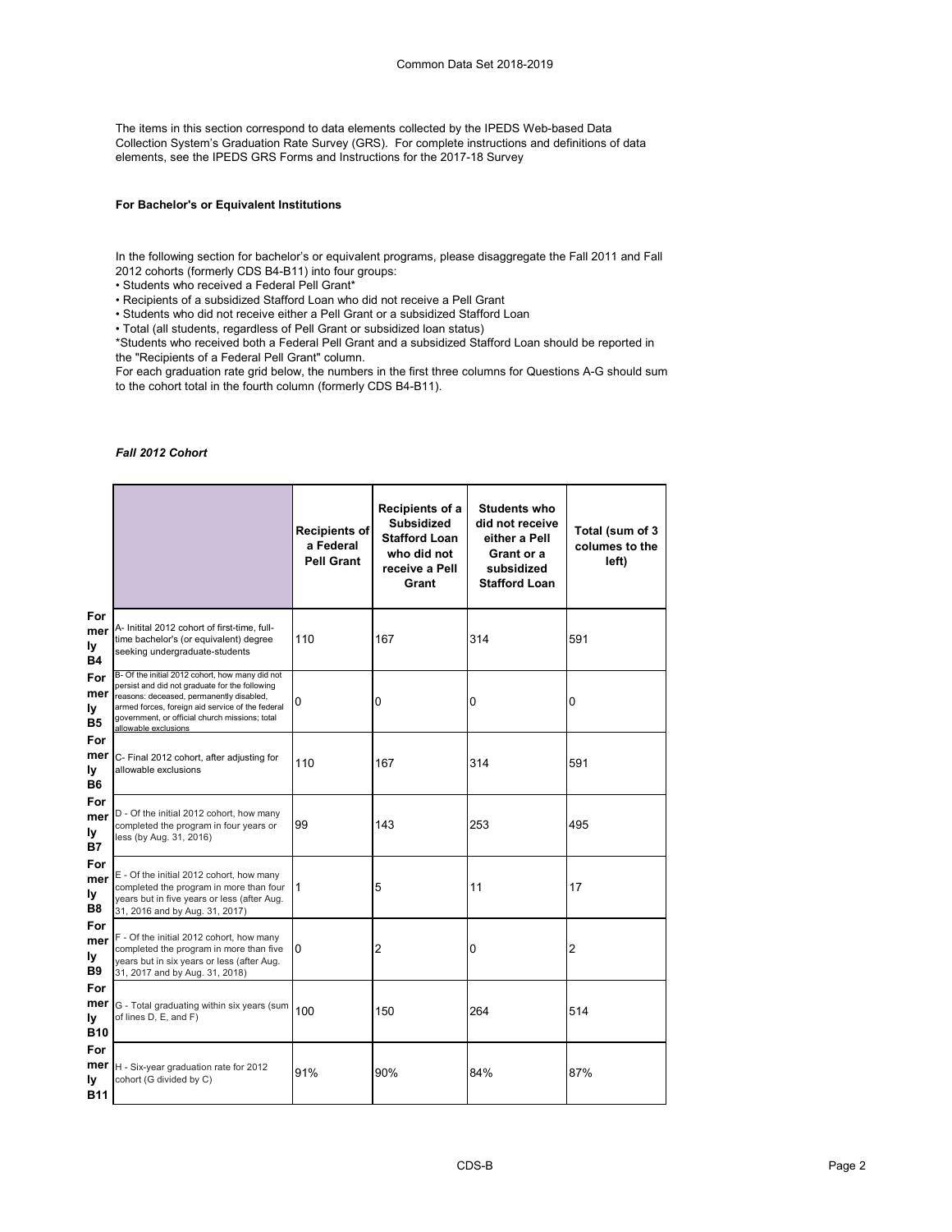The items in this section correspond to data elements collected by the IPEDS Web-based Data Collection System's Graduation Rate Survey (GRS). For complete instructions and definitions of data elements, see the IPEDS GRS Forms and Instructions for the 2017-18 Survey

# **For Bachelor's or Equivalent Institutions**

In the following section for bachelor's or equivalent programs, please disaggregate the Fall 2011 and Fall 2012 cohorts (formerly CDS B4-B11) into four groups:

• Students who received a Federal Pell Grant\*

• Recipients of a subsidized Stafford Loan who did not receive a Pell Grant

• Students who did not receive either a Pell Grant or a subsidized Stafford Loan

• Total (all students, regardless of Pell Grant or subsidized loan status)

\*Students who received both a Federal Pell Grant and a subsidized Stafford Loan should be reported in the "Recipients of a Federal Pell Grant" column.

For each graduation rate grid below, the numbers in the first three columns for Questions A-G should sum to the cohort total in the fourth column (formerly CDS B4-B11).

#### *Fall 2012 Cohort*

|                                |                                                                                                                                                                                                                                                                             | <b>Recipients of</b><br>a Federal<br><b>Pell Grant</b> | Recipients of a<br><b>Subsidized</b><br><b>Stafford Loan</b><br>who did not<br>receive a Pell<br>Grant | <b>Students who</b><br>did not receive<br>either a Pell<br>Grant or a<br>subsidized<br><b>Stafford Loan</b> | Total (sum of 3<br>columes to the<br>left) |
|--------------------------------|-----------------------------------------------------------------------------------------------------------------------------------------------------------------------------------------------------------------------------------------------------------------------------|--------------------------------------------------------|--------------------------------------------------------------------------------------------------------|-------------------------------------------------------------------------------------------------------------|--------------------------------------------|
| For<br>mer<br>ly<br><b>B4</b>  | A- Initital 2012 cohort of first-time, full-<br>time bachelor's (or equivalent) degree<br>seeking undergraduate-students                                                                                                                                                    | 110                                                    | 167                                                                                                    | 314                                                                                                         | 591                                        |
| For<br>mer<br>Ιy<br><b>B5</b>  | B- Of the initial 2012 cohort, how many did not<br>persist and did not graduate for the following<br>reasons: deceased, permanently disabled,<br>armed forces, foreign aid service of the federal<br>government, or official church missions; total<br>allowable exclusions | 0                                                      | 0                                                                                                      | 0                                                                                                           | 0                                          |
| For<br>mer<br>ly<br><b>B6</b>  | C- Final 2012 cohort, after adjusting for<br>allowable exclusions                                                                                                                                                                                                           | 110                                                    | 167                                                                                                    | 314                                                                                                         | 591                                        |
| For<br>mer<br>ly<br><b>B7</b>  | D - Of the initial 2012 cohort, how many<br>completed the program in four years or<br>less (by Aug. 31, 2016)                                                                                                                                                               | 99                                                     | 143                                                                                                    | 253                                                                                                         | 495                                        |
| For<br>mer<br>ly<br><b>B8</b>  | E - Of the initial 2012 cohort, how many<br>completed the program in more than four<br>years but in five years or less (after Aug.<br>31, 2016 and by Aug. 31, 2017)                                                                                                        | $\vert$ 1                                              | 5                                                                                                      | 11                                                                                                          | 17                                         |
| For<br>mer<br>ly<br>B9         | F - Of the initial 2012 cohort, how many<br>completed the program in more than five<br>years but in six years or less (after Aug.<br>31, 2017 and by Aug. 31, 2018)                                                                                                         | $\Omega$                                               | 2                                                                                                      | 0                                                                                                           | 2                                          |
| For<br>mer<br>ly<br><b>B10</b> | G - Total graduating within six years (sum<br>of lines D, E, and F)                                                                                                                                                                                                         | 100                                                    | 150                                                                                                    | 264                                                                                                         | 514                                        |
| For<br>mer<br>ly<br><b>B11</b> | H - Six-year graduation rate for 2012<br>cohort (G divided by C)                                                                                                                                                                                                            | 91%                                                    | 90%                                                                                                    | 84%                                                                                                         | 87%                                        |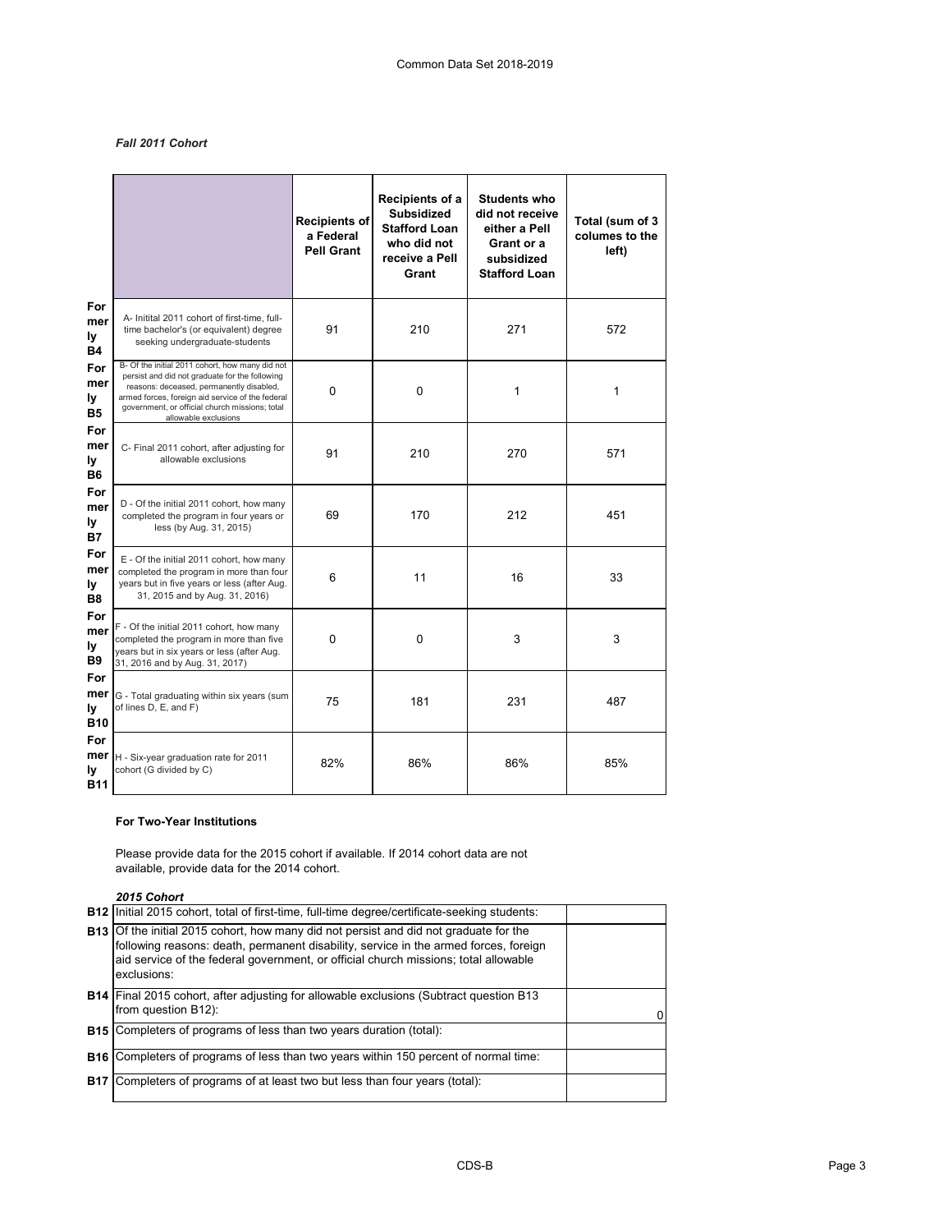# *Fall 2011 Cohort*

|                                |                                                                                                                                                                                                                                                                             | <b>Recipients of</b><br>a Federal<br><b>Pell Grant</b> | Recipients of a<br><b>Subsidized</b><br><b>Stafford Loan</b><br>who did not<br>receive a Pell<br>Grant | <b>Students who</b><br>did not receive<br>either a Pell<br>Grant or a<br>subsidized<br><b>Stafford Loan</b> | Total (sum of 3<br>columes to the<br>left) |
|--------------------------------|-----------------------------------------------------------------------------------------------------------------------------------------------------------------------------------------------------------------------------------------------------------------------------|--------------------------------------------------------|--------------------------------------------------------------------------------------------------------|-------------------------------------------------------------------------------------------------------------|--------------------------------------------|
| For<br>mer<br>ly<br><b>B4</b>  | A- Initital 2011 cohort of first-time, full-<br>time bachelor's (or equivalent) degree<br>seeking undergraduate-students                                                                                                                                                    | 91                                                     | 210                                                                                                    | 271                                                                                                         | 572                                        |
| For<br>mer<br>ly.<br><b>B5</b> | B- Of the initial 2011 cohort, how many did not<br>persist and did not graduate for the following<br>reasons: deceased, permanently disabled,<br>armed forces, foreign aid service of the federal<br>government, or official church missions; total<br>allowable exclusions | $\Omega$                                               | $\Omega$                                                                                               | 1                                                                                                           | 1                                          |
| For<br>mer<br>ly<br><b>B6</b>  | C- Final 2011 cohort, after adjusting for<br>allowable exclusions                                                                                                                                                                                                           | 91                                                     | 210                                                                                                    | 270                                                                                                         | 571                                        |
| For<br>mer<br>ly<br><b>B7</b>  | D - Of the initial 2011 cohort, how many<br>completed the program in four years or<br>less (by Aug. 31, 2015)                                                                                                                                                               | 69                                                     | 170                                                                                                    | 212                                                                                                         | 451                                        |
| For<br>mer<br>ly<br><b>B8</b>  | E - Of the initial 2011 cohort, how many<br>completed the program in more than four<br>years but in five years or less (after Aug.<br>31, 2015 and by Aug. 31, 2016)                                                                                                        | 6                                                      | 11                                                                                                     | 16                                                                                                          | 33                                         |
| For<br>mer<br>ly<br><b>B9</b>  | F - Of the initial 2011 cohort, how many<br>completed the program in more than five<br>years but in six years or less (after Aug.<br>31, 2016 and by Aug. 31, 2017)                                                                                                         | $\mathbf 0$                                            | $\mathbf 0$                                                                                            | 3                                                                                                           | 3                                          |
| For<br>mer<br>ly<br><b>B10</b> | G - Total graduating within six years (sum<br>of lines D, E, and F)                                                                                                                                                                                                         | 75                                                     | 181                                                                                                    | 231                                                                                                         | 487                                        |
| For<br>mer<br>ly<br>B11        | H - Six-year graduation rate for 2011<br>cohort (G divided by C)                                                                                                                                                                                                            | 82%                                                    | 86%                                                                                                    | 86%                                                                                                         | 85%                                        |

# **For Two-Year Institutions**

Please provide data for the 2015 cohort if available. If 2014 cohort data are not available, provide data for the 2014 cohort.

*2015 Cohort*

| <b>B12</b> Initial 2015 cohort, total of first-time, full-time degree/certificate-seeking students:                                                                                                                                                                                        |  |
|--------------------------------------------------------------------------------------------------------------------------------------------------------------------------------------------------------------------------------------------------------------------------------------------|--|
| <b>B13</b> Of the initial 2015 cohort, how many did not persist and did not graduate for the<br>following reasons: death, permanent disability, service in the armed forces, foreign<br>aid service of the federal government, or official church missions; total allowable<br>exclusions: |  |
| <b>B14</b> Final 2015 cohort, after adjusting for allowable exclusions (Subtract question B13<br>from question B12):                                                                                                                                                                       |  |
| <b>B15</b> Completers of programs of less than two years duration (total):                                                                                                                                                                                                                 |  |
| <b>B16</b> Completers of programs of less than two years within 150 percent of normal time:                                                                                                                                                                                                |  |
| <b>B17</b> Completers of programs of at least two but less than four years (total):                                                                                                                                                                                                        |  |